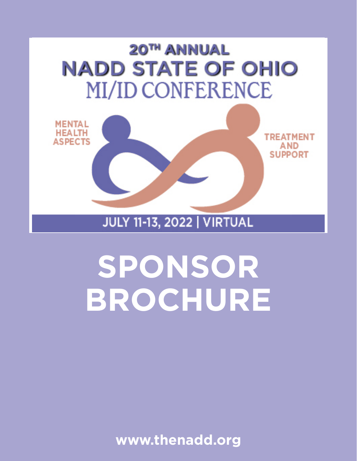

**JULY 11-13, 2022 | VIRTUAL** 

# **SPONSOR BROCHURE**

**www.thenadd.org**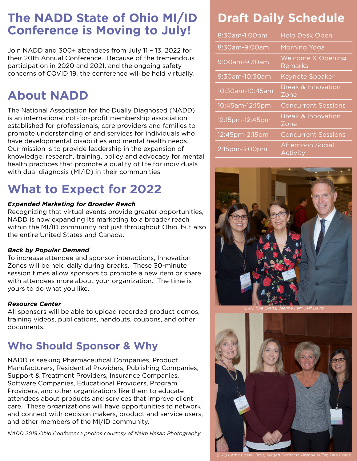## **The NADD State of Ohio MI/ID Conference is Moving to July!**

Join NADD and 300+ attendees from July 11 – 13, 2022 for their 20th Annual Conference. Because of the tremendous participation in 2020 and 2021, and the ongoing safety concerns of COVID 19, the conference will be held virtually.

## **About NADD**

The National Association for the Dually Diagnosed (NADD) is an international not-for-profit membership association established for professionals, care providers and families to promote understanding of and services for individuals who have developmental disabilities and mental health needs. Our mission is to provide leadership in the expansion of knowledge, research, training, policy and advocacy for mental health practices that promote a quality of life for individuals with dual diagnosis (Ml/ID) in their communities.

## **What to Expect for 2022**

#### *Expanded Marketing for Broader Reach*

Recognizing that virtual events provide greater opportunities, NADD is now expanding its marketing to a broader reach within the MI/ID community not just throughout Ohio, but also the entire United States and Canada.

#### *Back by Popular Demand*

To increase attendee and sponsor interactions, Innovation Zones will be held daily during breaks. These 30-minute session times allow sponsors to promote a new item or share with attendees more about your organization. The time is yours to do what you like.

#### *Resource Center*

All sponsors will be able to upload recorded product demos, training videos, publications, handouts, coupons, and other documents.

### **Who Should Sponsor & Why**

NADD is seeking Pharmaceutical Companies, Product Manufacturers, Residential Providers, Publishing Companies, Support & Treatment Providers, Insurance Companies, Software Companies, Educational Providers, Program Providers, and other organizations like them to educate attendees about products and services that improve client care. These organizations will have opportunities to network and connect with decision makers, product and service users, and other members of the MI/ID community.

*NADD 2019 Ohio Conference photos courtesy of Naim Hasan Photography*

## **Draft Daily Schedule**

| 8:30am-1:00pm   | <b>Help Desk Open</b>                      |
|-----------------|--------------------------------------------|
| 8:30am-9:00am   | Morning Yoga                               |
| 9:00am-9:30am   | <b>Welcome &amp; Opening</b><br>Remarks    |
| 9:30am-10:30am  | <b>Keynote Speaker</b>                     |
| 10:30am-10:45am | <b>Break &amp; Innovation</b><br>Zone      |
| 10:45am-12:15pm | <b>Concurrent Sessions</b>                 |
| 12:15pm-12:45pm | <b>Break &amp; Innovation</b><br>Zone      |
| 12:45pm-2:15pm  | <b>Concurrent Sessions</b>                 |
| 2:15pm-3:00pm   | <b>Afternoon Social</b><br><b>Activity</b> |